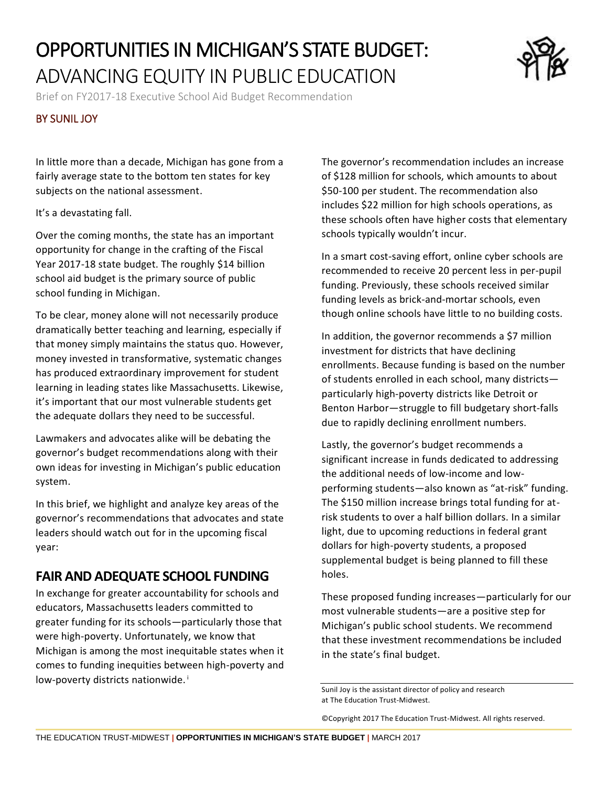# OPPORTUNITIES IN MICHIGAN'S STATE BUDGET: ADVANCING EQUITY IN PUBLIC EDUCATION

Brief on FY2017-18 Executive School Aid Budget Recommendation

#### BY SUNIL JOY

In little more than a decade, Michigan has gone from a fairly average state to the bottom ten states for key subjects on the national assessment.

It's a devastating fall.

Over the coming months, the state has an important opportunity for change in the crafting of the Fiscal Year 2017-18 state budget. The roughly \$14 billion school aid budget is the primary source of public school funding in Michigan.

To be clear, money alone will not necessarily produce dramatically better teaching and learning, especially if that money simply maintains the status quo. However, money invested in transformative, systematic changes has produced extraordinary improvement for student learning in leading states like Massachusetts. Likewise, it's important that our most vulnerable students get the adequate dollars they need to be successful.

Lawmakers and advocates alike will be debating the governor's budget recommendations along with their own ideas for investing in Michigan's public education system.

In this brief, we highlight and analyze key areas of the governor's recommendations that advocates and state leaders should watch out for in the upcoming fiscal year:

#### **FAIR AND ADEQUATE SCHOOL FUNDING**

In exchange for greater accountability for schools and educators, Massachusetts leaders committed to greater funding for its schools—particularly those that were high-poverty. Unfortunately, we know that Michigan is among the most inequitable states when it comes to funding inequities between high-poverty and low-poverty districts nationwide.<sup>i</sup>

The governor's recommendation includes an increase of \$128 million for schools, which amounts to about \$50-100 per student. The recommendation also includes \$22 million for high schools operations, as these schools often have higher costs that elementary schools typically wouldn't incur.

In a smart cost-saving effort, online cyber schools are recommended to receive 20 percent less in per-pupil funding. Previously, these schools received similar funding levels as brick-and-mortar schools, even though online schools have little to no building costs.

In addition, the governor recommends a \$7 million investment for districts that have declining enrollments. Because funding is based on the number of students enrolled in each school, many districts particularly high-poverty districts like Detroit or Benton Harbor—struggle to fill budgetary short-falls due to rapidly declining enrollment numbers.

Lastly, the governor's budget recommends a significant increase in funds dedicated to addressing the additional needs of low-income and lowperforming students—also known as "at-risk" funding. The \$150 million increase brings total funding for atrisk students to over a half billion dollars. In a similar light, due to upcoming reductions in federal grant dollars for high-poverty students, a proposed supplemental budget is being planned to fill these holes.

These proposed funding increases—particularly for our most vulnerable students—are a positive step for Michigan's public school students. We recommend that these investment recommendations be included in the state's final budget.

©Copyright 2017 The Education Trust-Midwest. All rights reserved.



Sunil Joy is the assistant director of policy and research at The Education Trust-Midwest.